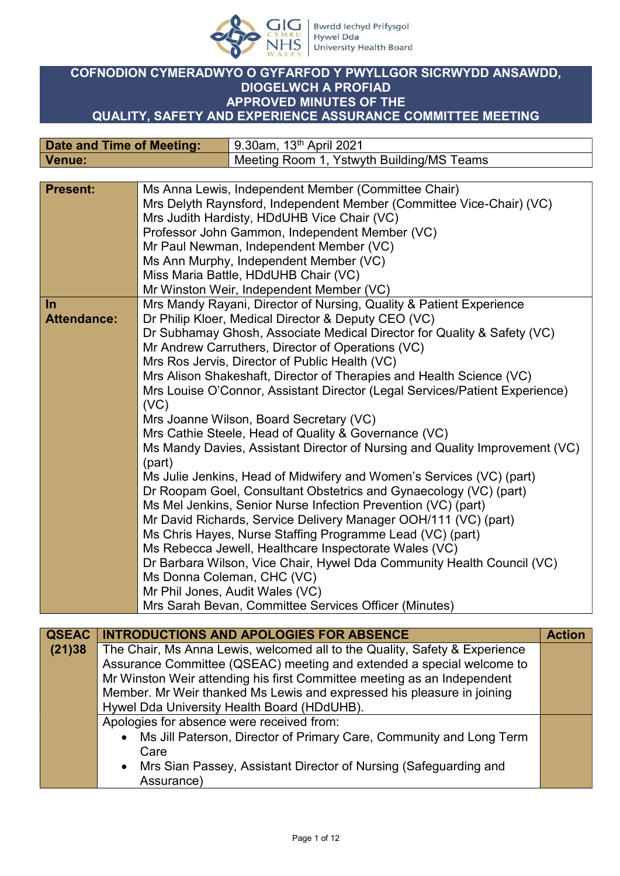

## **COFNODION CYMERADWYO O GYFARFOD Y PWYLLGOR SICRWYDD ANSAWDD, DIOGELWCH A PROFIAD APPROVED MINUTES OF THE QUALITY, SAFETY AND EXPERIENCE ASSURANCE COMMITTEE MEETING**

| <b>Date and Time of Meeting:</b> |                                         | 9.30am, 13 <sup>th</sup> April 2021                                                                                                                                                                                                                                                                                                                                                                                                                        |
|----------------------------------|-----------------------------------------|------------------------------------------------------------------------------------------------------------------------------------------------------------------------------------------------------------------------------------------------------------------------------------------------------------------------------------------------------------------------------------------------------------------------------------------------------------|
| <b>Venue:</b>                    |                                         | Meeting Room 1, Ystwyth Building/MS Teams                                                                                                                                                                                                                                                                                                                                                                                                                  |
|                                  |                                         |                                                                                                                                                                                                                                                                                                                                                                                                                                                            |
| <b>Present:</b>                  |                                         | Ms Anna Lewis, Independent Member (Committee Chair)                                                                                                                                                                                                                                                                                                                                                                                                        |
|                                  |                                         | Mrs Delyth Raynsford, Independent Member (Committee Vice-Chair) (VC)                                                                                                                                                                                                                                                                                                                                                                                       |
|                                  |                                         | Mrs Judith Hardisty, HDdUHB Vice Chair (VC)                                                                                                                                                                                                                                                                                                                                                                                                                |
|                                  |                                         | Professor John Gammon, Independent Member (VC)                                                                                                                                                                                                                                                                                                                                                                                                             |
|                                  |                                         | Mr Paul Newman, Independent Member (VC)                                                                                                                                                                                                                                                                                                                                                                                                                    |
|                                  |                                         | Ms Ann Murphy, Independent Member (VC)                                                                                                                                                                                                                                                                                                                                                                                                                     |
|                                  | Miss Maria Battle, HDdUHB Chair (VC)    |                                                                                                                                                                                                                                                                                                                                                                                                                                                            |
|                                  |                                         | Mr Winston Weir, Independent Member (VC)                                                                                                                                                                                                                                                                                                                                                                                                                   |
| $\ln$                            |                                         | Mrs Mandy Rayani, Director of Nursing, Quality & Patient Experience                                                                                                                                                                                                                                                                                                                                                                                        |
| <b>Attendance:</b>               |                                         | Dr Philip Kloer, Medical Director & Deputy CEO (VC)                                                                                                                                                                                                                                                                                                                                                                                                        |
|                                  |                                         | Dr Subhamay Ghosh, Associate Medical Director for Quality & Safety (VC)                                                                                                                                                                                                                                                                                                                                                                                    |
|                                  |                                         | Mr Andrew Carruthers, Director of Operations (VC)                                                                                                                                                                                                                                                                                                                                                                                                          |
|                                  |                                         | Mrs Ros Jervis, Director of Public Health (VC)                                                                                                                                                                                                                                                                                                                                                                                                             |
|                                  |                                         | Mrs Alison Shakeshaft, Director of Therapies and Health Science (VC)                                                                                                                                                                                                                                                                                                                                                                                       |
|                                  |                                         | Mrs Louise O'Connor, Assistant Director (Legal Services/Patient Experience)                                                                                                                                                                                                                                                                                                                                                                                |
|                                  | (VC)                                    |                                                                                                                                                                                                                                                                                                                                                                                                                                                            |
|                                  | Mrs Joanne Wilson, Board Secretary (VC) |                                                                                                                                                                                                                                                                                                                                                                                                                                                            |
|                                  |                                         | Mrs Cathie Steele, Head of Quality & Governance (VC)                                                                                                                                                                                                                                                                                                                                                                                                       |
|                                  |                                         | Ms Mandy Davies, Assistant Director of Nursing and Quality Improvement (VC)                                                                                                                                                                                                                                                                                                                                                                                |
|                                  | (part)                                  |                                                                                                                                                                                                                                                                                                                                                                                                                                                            |
|                                  |                                         | Ms Julie Jenkins, Head of Midwifery and Women's Services (VC) (part)                                                                                                                                                                                                                                                                                                                                                                                       |
|                                  |                                         | Dr Roopam Goel, Consultant Obstetrics and Gynaecology (VC) (part)                                                                                                                                                                                                                                                                                                                                                                                          |
|                                  |                                         |                                                                                                                                                                                                                                                                                                                                                                                                                                                            |
|                                  |                                         |                                                                                                                                                                                                                                                                                                                                                                                                                                                            |
|                                  |                                         |                                                                                                                                                                                                                                                                                                                                                                                                                                                            |
|                                  |                                         |                                                                                                                                                                                                                                                                                                                                                                                                                                                            |
|                                  |                                         |                                                                                                                                                                                                                                                                                                                                                                                                                                                            |
|                                  |                                         |                                                                                                                                                                                                                                                                                                                                                                                                                                                            |
|                                  |                                         |                                                                                                                                                                                                                                                                                                                                                                                                                                                            |
|                                  |                                         |                                                                                                                                                                                                                                                                                                                                                                                                                                                            |
|                                  |                                         | Ms Mel Jenkins, Senior Nurse Infection Prevention (VC) (part)<br>Mr David Richards, Service Delivery Manager OOH/111 (VC) (part)<br>Ms Chris Hayes, Nurse Staffing Programme Lead (VC) (part)<br>Ms Rebecca Jewell, Healthcare Inspectorate Wales (VC)<br>Dr Barbara Wilson, Vice Chair, Hywel Dda Community Health Council (VC)<br>Ms Donna Coleman, CHC (VC)<br>Mr Phil Jones, Audit Wales (VC)<br>Mrs Sarah Bevan, Committee Services Officer (Minutes) |

| <b>QSEAC</b> | <b>INTRODUCTIONS AND APOLOGIES FOR ABSENCE</b>                             | <b>Action</b> |
|--------------|----------------------------------------------------------------------------|---------------|
| (21)38       | The Chair, Ms Anna Lewis, welcomed all to the Quality, Safety & Experience |               |
|              | Assurance Committee (QSEAC) meeting and extended a special welcome to      |               |
|              | Mr Winston Weir attending his first Committee meeting as an Independent    |               |
|              | Member. Mr Weir thanked Ms Lewis and expressed his pleasure in joining     |               |
|              | Hywel Dda University Health Board (HDdUHB).                                |               |
|              | Apologies for absence were received from:                                  |               |
|              | Ms Jill Paterson, Director of Primary Care, Community and Long Term        |               |
|              | Care                                                                       |               |
|              | • Mrs Sian Passey, Assistant Director of Nursing (Safeguarding and         |               |
|              | Assurance)                                                                 |               |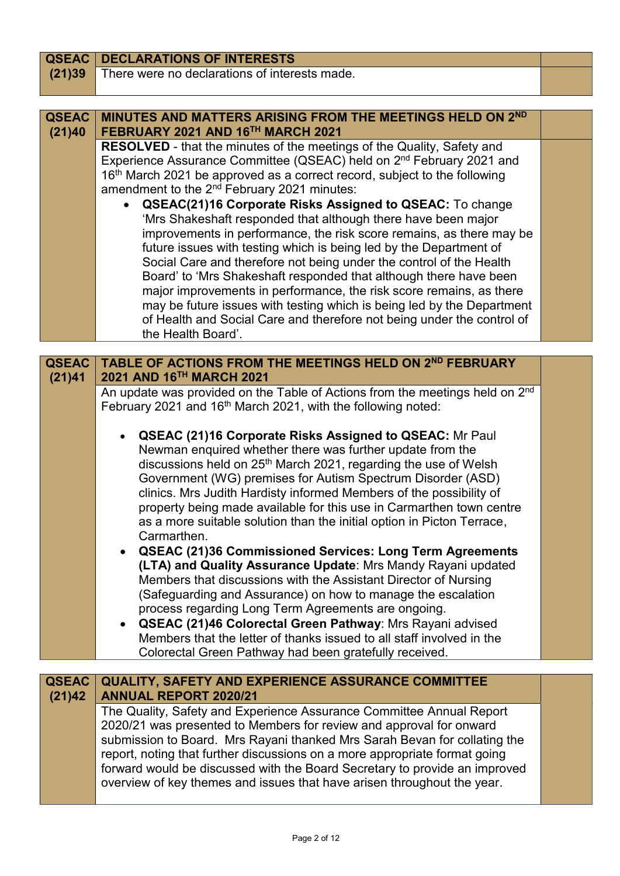| <b>QSEAC</b> | <b>DECLARATIONS OF INTERESTS</b>                                                                                                                                                                                                                                                                                                                                                                                                                                                                                                                                                                                                                                                                                                                                                                                                                                                                                                                                                         |  |
|--------------|------------------------------------------------------------------------------------------------------------------------------------------------------------------------------------------------------------------------------------------------------------------------------------------------------------------------------------------------------------------------------------------------------------------------------------------------------------------------------------------------------------------------------------------------------------------------------------------------------------------------------------------------------------------------------------------------------------------------------------------------------------------------------------------------------------------------------------------------------------------------------------------------------------------------------------------------------------------------------------------|--|
| (21)39       | There were no declarations of interests made.                                                                                                                                                                                                                                                                                                                                                                                                                                                                                                                                                                                                                                                                                                                                                                                                                                                                                                                                            |  |
|              |                                                                                                                                                                                                                                                                                                                                                                                                                                                                                                                                                                                                                                                                                                                                                                                                                                                                                                                                                                                          |  |
| <b>QSEAC</b> | MINUTES AND MATTERS ARISING FROM THE MEETINGS HELD ON 2ND                                                                                                                                                                                                                                                                                                                                                                                                                                                                                                                                                                                                                                                                                                                                                                                                                                                                                                                                |  |
| (21)40       | FEBRUARY 2021 AND 16TH MARCH 2021                                                                                                                                                                                                                                                                                                                                                                                                                                                                                                                                                                                                                                                                                                                                                                                                                                                                                                                                                        |  |
|              | <b>RESOLVED</b> - that the minutes of the meetings of the Quality, Safety and<br>Experience Assurance Committee (QSEAC) held on 2 <sup>nd</sup> February 2021 and<br>16th March 2021 be approved as a correct record, subject to the following<br>amendment to the 2 <sup>nd</sup> February 2021 minutes:<br><b>QSEAC(21)16 Corporate Risks Assigned to QSEAC:</b> To change<br>'Mrs Shakeshaft responded that although there have been major<br>improvements in performance, the risk score remains, as there may be<br>future issues with testing which is being led by the Department of<br>Social Care and therefore not being under the control of the Health<br>Board' to 'Mrs Shakeshaft responded that although there have been<br>major improvements in performance, the risk score remains, as there<br>may be future issues with testing which is being led by the Department<br>of Health and Social Care and therefore not being under the control of<br>the Health Board'. |  |
| <b>QSEAC</b> | TABLE OF ACTIONS FROM THE MEETINGS HELD ON 2ND FEBRUARY                                                                                                                                                                                                                                                                                                                                                                                                                                                                                                                                                                                                                                                                                                                                                                                                                                                                                                                                  |  |
| (21)41       | 2021 AND 16TH MARCH 2021                                                                                                                                                                                                                                                                                                                                                                                                                                                                                                                                                                                                                                                                                                                                                                                                                                                                                                                                                                 |  |
|              | An update was provided on the Table of Actions from the meetings held on 2 <sup>nd</sup><br>February 2021 and 16 <sup>th</sup> March 2021, with the following noted:                                                                                                                                                                                                                                                                                                                                                                                                                                                                                                                                                                                                                                                                                                                                                                                                                     |  |
|              | <b>QSEAC (21)16 Corporate Risks Assigned to QSEAC: Mr Paul</b><br>Newman enquired whether there was further update from the<br>discussions held on 25 <sup>th</sup> March 2021, regarding the use of Welsh<br>Government (WG) premises for Autism Spectrum Disorder (ASD)<br>clinics. Mrs Judith Hardisty informed Members of the possibility of<br>property being made available for this use in Carmarthen town centre<br>as a more suitable solution than the initial option in Picton Terrace,<br>Carmarthen.<br><b>QSEAC (21)36 Commissioned Services: Long Term Agreements</b><br>(LTA) and Quality Assurance Update: Mrs Mandy Rayani updated<br>Members that discussions with the Assistant Director of Nursing<br>(Safeguarding and Assurance) on how to manage the escalation<br>process regarding Long Term Agreements are ongoing.<br><b>QSEAC (21)46 Colorectal Green Pathway: Mrs Ravani advised</b>                                                                       |  |

 **QSEAC (21)46 Colorectal Green Pathway**: Mrs Rayani advised Members that the letter of thanks issued to all staff involved in the Colorectal Green Pathway had been gratefully received.

**QSEAC (21)42 QUALITY, SAFETY AND EXPERIENCE ASSURANCE COMMITTEE ANNUAL REPORT 2020/21** The Quality, Safety and Experience Assurance Committee Annual Report 2020/21 was presented to Members for review and approval for onward submission to Board. Mrs Rayani thanked Mrs Sarah Bevan for collating the report, noting that further discussions on a more appropriate format going forward would be discussed with the Board Secretary to provide an improved overview of key themes and issues that have arisen throughout the year.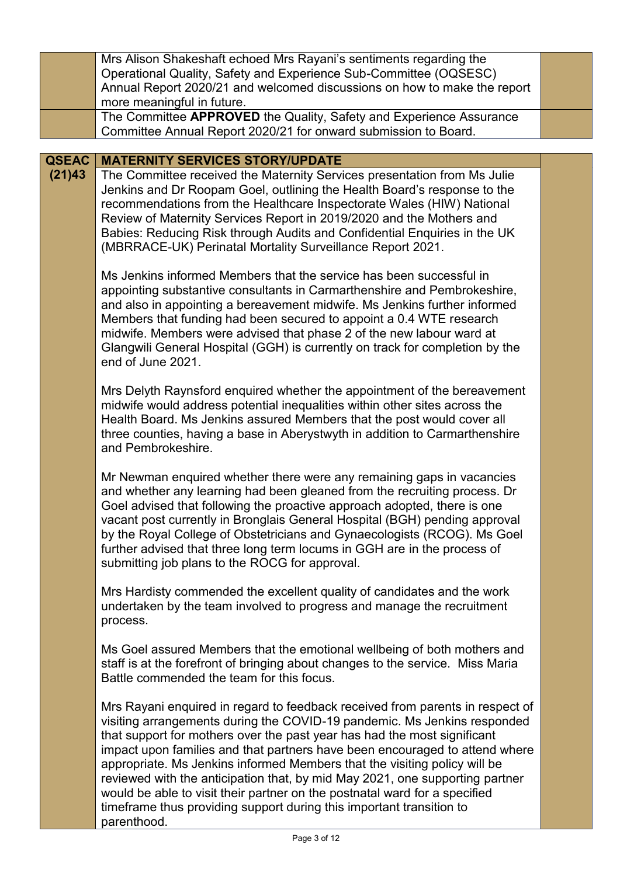|              | Mrs Alison Shakeshaft echoed Mrs Rayani's sentiments regarding the<br>Operational Quality, Safety and Experience Sub-Committee (OQSESC)<br>Annual Report 2020/21 and welcomed discussions on how to make the report<br>more meaningful in future.                                                                                                                                                                                                                                                                                                                                                                                                      |  |
|--------------|--------------------------------------------------------------------------------------------------------------------------------------------------------------------------------------------------------------------------------------------------------------------------------------------------------------------------------------------------------------------------------------------------------------------------------------------------------------------------------------------------------------------------------------------------------------------------------------------------------------------------------------------------------|--|
|              | The Committee APPROVED the Quality, Safety and Experience Assurance<br>Committee Annual Report 2020/21 for onward submission to Board.                                                                                                                                                                                                                                                                                                                                                                                                                                                                                                                 |  |
| <b>QSEAC</b> |                                                                                                                                                                                                                                                                                                                                                                                                                                                                                                                                                                                                                                                        |  |
| (21)43       | <b>MATERNITY SERVICES STORY/UPDATE</b><br>The Committee received the Maternity Services presentation from Ms Julie<br>Jenkins and Dr Roopam Goel, outlining the Health Board's response to the<br>recommendations from the Healthcare Inspectorate Wales (HIW) National<br>Review of Maternity Services Report in 2019/2020 and the Mothers and<br>Babies: Reducing Risk through Audits and Confidential Enquiries in the UK<br>(MBRRACE-UK) Perinatal Mortality Surveillance Report 2021.                                                                                                                                                             |  |
|              | Ms Jenkins informed Members that the service has been successful in<br>appointing substantive consultants in Carmarthenshire and Pembrokeshire,<br>and also in appointing a bereavement midwife. Ms Jenkins further informed<br>Members that funding had been secured to appoint a 0.4 WTE research<br>midwife. Members were advised that phase 2 of the new labour ward at<br>Glangwili General Hospital (GGH) is currently on track for completion by the<br>end of June 2021.                                                                                                                                                                       |  |
|              | Mrs Delyth Raynsford enquired whether the appointment of the bereavement<br>midwife would address potential inequalities within other sites across the<br>Health Board. Ms Jenkins assured Members that the post would cover all<br>three counties, having a base in Aberystwyth in addition to Carmarthenshire<br>and Pembrokeshire.                                                                                                                                                                                                                                                                                                                  |  |
|              | Mr Newman enquired whether there were any remaining gaps in vacancies<br>and whether any learning had been gleaned from the recruiting process. Dr<br>Goel advised that following the proactive approach adopted, there is one<br>vacant post currently in Bronglais General Hospital (BGH) pending approval<br>by the Royal College of Obstetricians and Gynaecologists (RCOG). Ms Goel<br>further advised that three long term locums in GGH are in the process of<br>submitting job plans to the ROCG for approval.                                                                                                                                 |  |
|              | Mrs Hardisty commended the excellent quality of candidates and the work<br>undertaken by the team involved to progress and manage the recruitment<br>process.                                                                                                                                                                                                                                                                                                                                                                                                                                                                                          |  |
|              | Ms Goel assured Members that the emotional wellbeing of both mothers and<br>staff is at the forefront of bringing about changes to the service. Miss Maria<br>Battle commended the team for this focus.                                                                                                                                                                                                                                                                                                                                                                                                                                                |  |
|              | Mrs Rayani enquired in regard to feedback received from parents in respect of<br>visiting arrangements during the COVID-19 pandemic. Ms Jenkins responded<br>that support for mothers over the past year has had the most significant<br>impact upon families and that partners have been encouraged to attend where<br>appropriate. Ms Jenkins informed Members that the visiting policy will be<br>reviewed with the anticipation that, by mid May 2021, one supporting partner<br>would be able to visit their partner on the postnatal ward for a specified<br>timeframe thus providing support during this important transition to<br>parenthood. |  |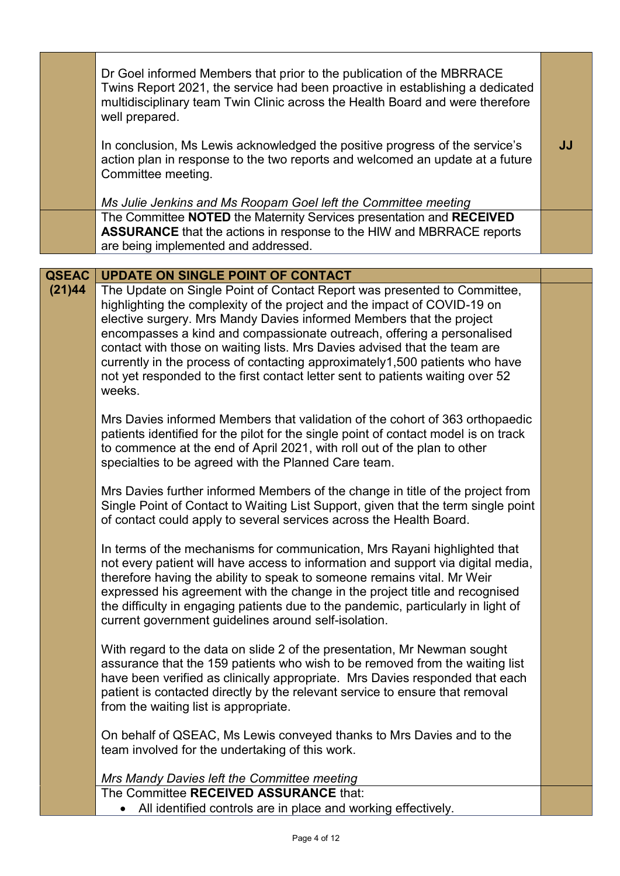|              | Dr Goel informed Members that prior to the publication of the MBRRACE<br>Twins Report 2021, the service had been proactive in establishing a dedicated<br>multidisciplinary team Twin Clinic across the Health Board and were therefore<br>well prepared.                                                                                                                                                                                                                                                                                                      |           |
|--------------|----------------------------------------------------------------------------------------------------------------------------------------------------------------------------------------------------------------------------------------------------------------------------------------------------------------------------------------------------------------------------------------------------------------------------------------------------------------------------------------------------------------------------------------------------------------|-----------|
|              | In conclusion, Ms Lewis acknowledged the positive progress of the service's<br>action plan in response to the two reports and welcomed an update at a future<br>Committee meeting.                                                                                                                                                                                                                                                                                                                                                                             | <b>JJ</b> |
|              | Ms Julie Jenkins and Ms Roopam Goel left the Committee meeting                                                                                                                                                                                                                                                                                                                                                                                                                                                                                                 |           |
|              | The Committee NOTED the Maternity Services presentation and RECEIVED<br><b>ASSURANCE</b> that the actions in response to the HIW and MBRRACE reports<br>are being implemented and addressed.                                                                                                                                                                                                                                                                                                                                                                   |           |
| <b>QSEAC</b> | <b>UPDATE ON SINGLE POINT OF CONTACT</b>                                                                                                                                                                                                                                                                                                                                                                                                                                                                                                                       |           |
| (21)44       | The Update on Single Point of Contact Report was presented to Committee,<br>highlighting the complexity of the project and the impact of COVID-19 on<br>elective surgery. Mrs Mandy Davies informed Members that the project<br>encompasses a kind and compassionate outreach, offering a personalised<br>contact with those on waiting lists. Mrs Davies advised that the team are<br>currently in the process of contacting approximately1,500 patients who have<br>not yet responded to the first contact letter sent to patients waiting over 52<br>weeks. |           |
|              | Mrs Davies informed Members that validation of the cohort of 363 orthopaedic<br>patients identified for the pilot for the single point of contact model is on track<br>to commence at the end of April 2021, with roll out of the plan to other<br>specialties to be agreed with the Planned Care team.                                                                                                                                                                                                                                                        |           |
|              | Mrs Davies further informed Members of the change in title of the project from<br>Single Point of Contact to Waiting List Support, given that the term single point<br>of contact could apply to several services across the Health Board.                                                                                                                                                                                                                                                                                                                     |           |
|              | In terms of the mechanisms for communication, Mrs Rayani highlighted that<br>not every patient will have access to information and support via digital media,<br>therefore having the ability to speak to someone remains vital. Mr Weir<br>expressed his agreement with the change in the project title and recognised<br>the difficulty in engaging patients due to the pandemic, particularly in light of<br>current government guidelines around self-isolation.                                                                                           |           |
|              | With regard to the data on slide 2 of the presentation, Mr Newman sought<br>assurance that the 159 patients who wish to be removed from the waiting list<br>have been verified as clinically appropriate. Mrs Davies responded that each<br>patient is contacted directly by the relevant service to ensure that removal<br>from the waiting list is appropriate.                                                                                                                                                                                              |           |
|              | On behalf of QSEAC, Ms Lewis conveyed thanks to Mrs Davies and to the<br>team involved for the undertaking of this work.                                                                                                                                                                                                                                                                                                                                                                                                                                       |           |
|              | Mrs Mandy Davies left the Committee meeting                                                                                                                                                                                                                                                                                                                                                                                                                                                                                                                    |           |
|              | The Committee RECEIVED ASSURANCE that:<br>All identified controls are in place and working effectively.                                                                                                                                                                                                                                                                                                                                                                                                                                                        |           |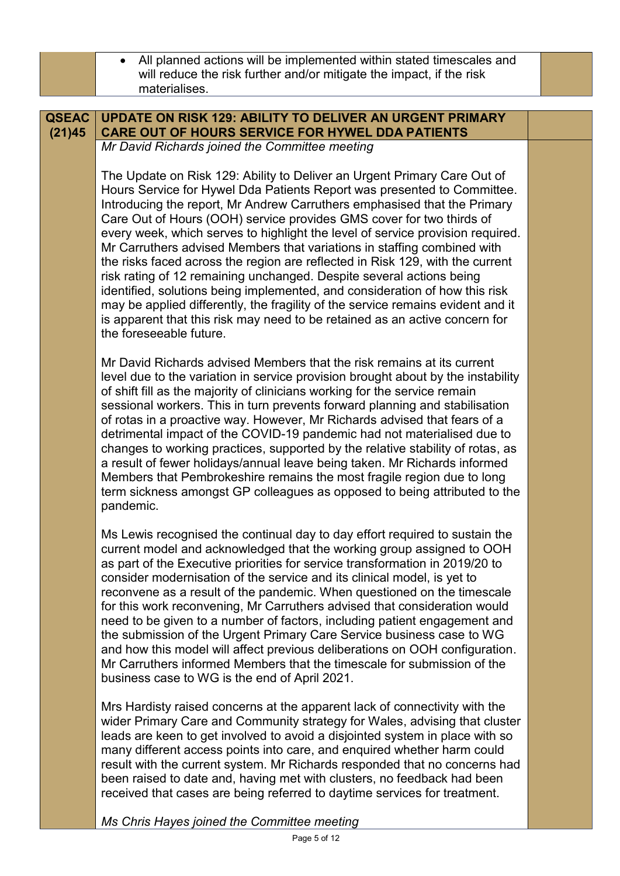|                        | All planned actions will be implemented within stated timescales and<br>$\bullet$<br>will reduce the risk further and/or mitigate the impact, if the risk<br>materialises.                                                                                                                                                                                                                                                                                                                                                                                                                                                                                                                                                                                                                                                                                                                                |  |
|------------------------|-----------------------------------------------------------------------------------------------------------------------------------------------------------------------------------------------------------------------------------------------------------------------------------------------------------------------------------------------------------------------------------------------------------------------------------------------------------------------------------------------------------------------------------------------------------------------------------------------------------------------------------------------------------------------------------------------------------------------------------------------------------------------------------------------------------------------------------------------------------------------------------------------------------|--|
|                        |                                                                                                                                                                                                                                                                                                                                                                                                                                                                                                                                                                                                                                                                                                                                                                                                                                                                                                           |  |
| <b>QSEAC</b><br>(21)45 | <b>UPDATE ON RISK 129: ABILITY TO DELIVER AN URGENT PRIMARY</b><br><b>CARE OUT OF HOURS SERVICE FOR HYWEL DDA PATIENTS</b>                                                                                                                                                                                                                                                                                                                                                                                                                                                                                                                                                                                                                                                                                                                                                                                |  |
|                        | Mr David Richards joined the Committee meeting                                                                                                                                                                                                                                                                                                                                                                                                                                                                                                                                                                                                                                                                                                                                                                                                                                                            |  |
|                        | The Update on Risk 129: Ability to Deliver an Urgent Primary Care Out of<br>Hours Service for Hywel Dda Patients Report was presented to Committee.<br>Introducing the report, Mr Andrew Carruthers emphasised that the Primary<br>Care Out of Hours (OOH) service provides GMS cover for two thirds of<br>every week, which serves to highlight the level of service provision required.<br>Mr Carruthers advised Members that variations in staffing combined with<br>the risks faced across the region are reflected in Risk 129, with the current<br>risk rating of 12 remaining unchanged. Despite several actions being<br>identified, solutions being implemented, and consideration of how this risk<br>may be applied differently, the fragility of the service remains evident and it<br>is apparent that this risk may need to be retained as an active concern for<br>the foreseeable future. |  |
|                        | Mr David Richards advised Members that the risk remains at its current<br>level due to the variation in service provision brought about by the instability<br>of shift fill as the majority of clinicians working for the service remain<br>sessional workers. This in turn prevents forward planning and stabilisation<br>of rotas in a proactive way. However, Mr Richards advised that fears of a<br>detrimental impact of the COVID-19 pandemic had not materialised due to<br>changes to working practices, supported by the relative stability of rotas, as<br>a result of fewer holidays/annual leave being taken. Mr Richards informed<br>Members that Pembrokeshire remains the most fragile region due to long<br>term sickness amongst GP colleagues as opposed to being attributed to the<br>pandemic.                                                                                        |  |
|                        | Ms Lewis recognised the continual day to day effort required to sustain the<br>current model and acknowledged that the working group assigned to OOH<br>as part of the Executive priorities for service transformation in 2019/20 to<br>consider modernisation of the service and its clinical model, is yet to<br>reconvene as a result of the pandemic. When questioned on the timescale<br>for this work reconvening, Mr Carruthers advised that consideration would<br>need to be given to a number of factors, including patient engagement and<br>the submission of the Urgent Primary Care Service business case to WG<br>and how this model will affect previous deliberations on OOH configuration.<br>Mr Carruthers informed Members that the timescale for submission of the<br>business case to WG is the end of April 2021.                                                                  |  |
|                        | Mrs Hardisty raised concerns at the apparent lack of connectivity with the<br>wider Primary Care and Community strategy for Wales, advising that cluster<br>leads are keen to get involved to avoid a disjointed system in place with so<br>many different access points into care, and enquired whether harm could<br>result with the current system. Mr Richards responded that no concerns had<br>been raised to date and, having met with clusters, no feedback had been<br>received that cases are being referred to daytime services for treatment.<br>Ms Chris Hayes joined the Committee meeting                                                                                                                                                                                                                                                                                                  |  |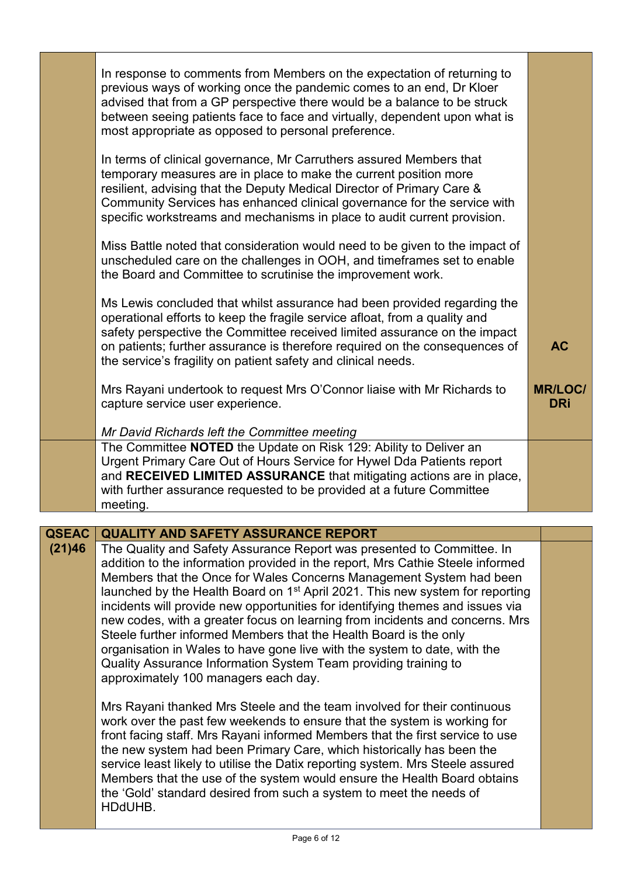|                        | In response to comments from Members on the expectation of returning to<br>previous ways of working once the pandemic comes to an end, Dr Kloer<br>advised that from a GP perspective there would be a balance to be struck<br>between seeing patients face to face and virtually, dependent upon what is<br>most appropriate as opposed to personal preference.<br>In terms of clinical governance, Mr Carruthers assured Members that<br>temporary measures are in place to make the current position more<br>resilient, advising that the Deputy Medical Director of Primary Care &<br>Community Services has enhanced clinical governance for the service with<br>specific workstreams and mechanisms in place to audit current provision.<br>Miss Battle noted that consideration would need to be given to the impact of<br>unscheduled care on the challenges in OOH, and timeframes set to enable<br>the Board and Committee to scrutinise the improvement work. |                                           |
|------------------------|--------------------------------------------------------------------------------------------------------------------------------------------------------------------------------------------------------------------------------------------------------------------------------------------------------------------------------------------------------------------------------------------------------------------------------------------------------------------------------------------------------------------------------------------------------------------------------------------------------------------------------------------------------------------------------------------------------------------------------------------------------------------------------------------------------------------------------------------------------------------------------------------------------------------------------------------------------------------------|-------------------------------------------|
|                        | Ms Lewis concluded that whilst assurance had been provided regarding the<br>operational efforts to keep the fragile service afloat, from a quality and<br>safety perspective the Committee received limited assurance on the impact<br>on patients; further assurance is therefore required on the consequences of<br>the service's fragility on patient safety and clinical needs.<br>Mrs Rayani undertook to request Mrs O'Connor liaise with Mr Richards to<br>capture service user experience.<br>Mr David Richards left the Committee meeting                                                                                                                                                                                                                                                                                                                                                                                                                       | <b>AC</b><br><b>MR/LOC/</b><br><b>DRi</b> |
|                        | The Committee NOTED the Update on Risk 129: Ability to Deliver an<br>Urgent Primary Care Out of Hours Service for Hywel Dda Patients report<br>and RECEIVED LIMITED ASSURANCE that mitigating actions are in place,<br>with further assurance requested to be provided at a future Committee<br>meeting.                                                                                                                                                                                                                                                                                                                                                                                                                                                                                                                                                                                                                                                                 |                                           |
| <b>QSEAC</b><br>(21)46 | <b>QUALITY AND SAFETY ASSURANCE REPORT</b><br>The Quality and Safety Assurance Report was presented to Committee. In                                                                                                                                                                                                                                                                                                                                                                                                                                                                                                                                                                                                                                                                                                                                                                                                                                                     |                                           |
|                        | addition to the information provided in the report, Mrs Cathie Steele informed<br>Members that the Once for Wales Concerns Management System had been<br>launched by the Health Board on 1 <sup>st</sup> April 2021. This new system for reporting<br>incidents will provide new opportunities for identifying themes and issues via<br>new codes, with a greater focus on learning from incidents and concerns. Mrs<br>Steele further informed Members that the Health Board is the only<br>organisation in Wales to have gone live with the system to date, with the<br>Quality Assurance Information System Team providing training to<br>approximately 100 managers each day.                                                                                                                                                                                                                                                                                        |                                           |
|                        | Mrs Rayani thanked Mrs Steele and the team involved for their continuous<br>work over the past few weekends to ensure that the system is working for<br>front facing staff. Mrs Rayani informed Members that the first service to use<br>the new system had been Primary Care, which historically has been the<br>service least likely to utilise the Datix reporting system. Mrs Steele assured<br>Members that the use of the system would ensure the Health Board obtains<br>the 'Gold' standard desired from such a system to meet the needs of<br>HDdUHB.                                                                                                                                                                                                                                                                                                                                                                                                           |                                           |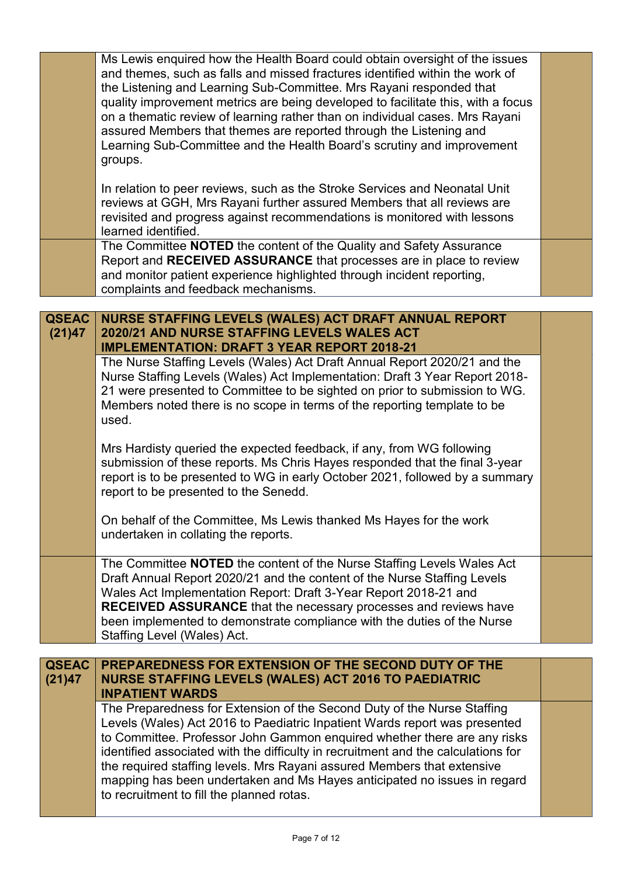|                        | Ms Lewis enquired how the Health Board could obtain oversight of the issues<br>and themes, such as falls and missed fractures identified within the work of<br>the Listening and Learning Sub-Committee. Mrs Rayani responded that<br>quality improvement metrics are being developed to facilitate this, with a focus<br>on a thematic review of learning rather than on individual cases. Mrs Rayani<br>assured Members that themes are reported through the Listening and<br>Learning Sub-Committee and the Health Board's scrutiny and improvement<br>groups.                                                                                                                                                                                                                                                                                                                                                                                                                                                                                                                                                                                                                                                                                                                                              |  |
|------------------------|----------------------------------------------------------------------------------------------------------------------------------------------------------------------------------------------------------------------------------------------------------------------------------------------------------------------------------------------------------------------------------------------------------------------------------------------------------------------------------------------------------------------------------------------------------------------------------------------------------------------------------------------------------------------------------------------------------------------------------------------------------------------------------------------------------------------------------------------------------------------------------------------------------------------------------------------------------------------------------------------------------------------------------------------------------------------------------------------------------------------------------------------------------------------------------------------------------------------------------------------------------------------------------------------------------------|--|
|                        | In relation to peer reviews, such as the Stroke Services and Neonatal Unit<br>reviews at GGH, Mrs Rayani further assured Members that all reviews are<br>revisited and progress against recommendations is monitored with lessons<br>learned identified.<br>The Committee NOTED the content of the Quality and Safety Assurance<br>Report and RECEIVED ASSURANCE that processes are in place to review<br>and monitor patient experience highlighted through incident reporting,<br>complaints and feedback mechanisms.                                                                                                                                                                                                                                                                                                                                                                                                                                                                                                                                                                                                                                                                                                                                                                                        |  |
|                        |                                                                                                                                                                                                                                                                                                                                                                                                                                                                                                                                                                                                                                                                                                                                                                                                                                                                                                                                                                                                                                                                                                                                                                                                                                                                                                                |  |
| <b>QSEAC</b><br>(21)47 | NURSE STAFFING LEVELS (WALES) ACT DRAFT ANNUAL REPORT<br>2020/21 AND NURSE STAFFING LEVELS WALES ACT<br><b>IMPLEMENTATION: DRAFT 3 YEAR REPORT 2018-21</b><br>The Nurse Staffing Levels (Wales) Act Draft Annual Report 2020/21 and the<br>Nurse Staffing Levels (Wales) Act Implementation: Draft 3 Year Report 2018-<br>21 were presented to Committee to be sighted on prior to submission to WG.<br>Members noted there is no scope in terms of the reporting template to be<br>used.<br>Mrs Hardisty queried the expected feedback, if any, from WG following<br>submission of these reports. Ms Chris Hayes responded that the final 3-year<br>report is to be presented to WG in early October 2021, followed by a summary<br>report to be presented to the Senedd.<br>On behalf of the Committee, Ms Lewis thanked Ms Hayes for the work<br>undertaken in collating the reports.<br>The Committee <b>NOTED</b> the content of the Nurse Staffing Levels Wales Act<br>Draft Annual Report 2020/21 and the content of the Nurse Staffing Levels<br>Wales Act Implementation Report: Draft 3-Year Report 2018-21 and<br><b>RECEIVED ASSURANCE</b> that the necessary processes and reviews have<br>been implemented to demonstrate compliance with the duties of the Nurse<br>Staffing Level (Wales) Act. |  |
|                        |                                                                                                                                                                                                                                                                                                                                                                                                                                                                                                                                                                                                                                                                                                                                                                                                                                                                                                                                                                                                                                                                                                                                                                                                                                                                                                                |  |
| <b>QSEAC</b><br>(21)47 | PREPAREDNESS FOR EXTENSION OF THE SECOND DUTY OF THE<br><b>NURSE STAFFING LEVELS (WALES) ACT 2016 TO PAEDIATRIC</b><br><b>INPATIENT WARDS</b>                                                                                                                                                                                                                                                                                                                                                                                                                                                                                                                                                                                                                                                                                                                                                                                                                                                                                                                                                                                                                                                                                                                                                                  |  |
|                        | The Preparedness for Extension of the Second Duty of the Nurse Staffing<br>Levels (Wales) Act 2016 to Paediatric Inpatient Wards report was presented<br>to Committee. Professor John Gammon enquired whether there are any risks<br>identified associated with the difficulty in recruitment and the calculations for<br>the required staffing levels. Mrs Rayani assured Members that extensive<br>mapping has been undertaken and Ms Hayes anticipated no issues in regard<br>to recruitment to fill the planned rotas.                                                                                                                                                                                                                                                                                                                                                                                                                                                                                                                                                                                                                                                                                                                                                                                     |  |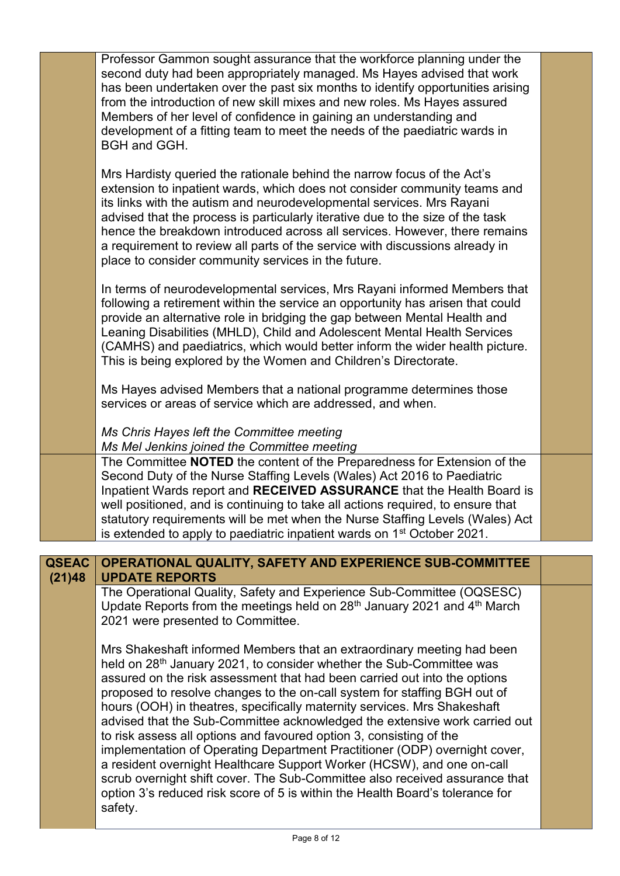|              | Professor Gammon sought assurance that the workforce planning under the<br>second duty had been appropriately managed. Ms Hayes advised that work<br>has been undertaken over the past six months to identify opportunities arising<br>from the introduction of new skill mixes and new roles. Ms Hayes assured<br>Members of her level of confidence in gaining an understanding and<br>development of a fitting team to meet the needs of the paediatric wards in<br>BGH and GGH.                                                                                                                                                                                                                                                                                                                                                                                                      |  |
|--------------|------------------------------------------------------------------------------------------------------------------------------------------------------------------------------------------------------------------------------------------------------------------------------------------------------------------------------------------------------------------------------------------------------------------------------------------------------------------------------------------------------------------------------------------------------------------------------------------------------------------------------------------------------------------------------------------------------------------------------------------------------------------------------------------------------------------------------------------------------------------------------------------|--|
|              | Mrs Hardisty queried the rationale behind the narrow focus of the Act's<br>extension to inpatient wards, which does not consider community teams and<br>its links with the autism and neurodevelopmental services. Mrs Rayani<br>advised that the process is particularly iterative due to the size of the task<br>hence the breakdown introduced across all services. However, there remains<br>a requirement to review all parts of the service with discussions already in<br>place to consider community services in the future.                                                                                                                                                                                                                                                                                                                                                     |  |
|              | In terms of neurodevelopmental services, Mrs Rayani informed Members that<br>following a retirement within the service an opportunity has arisen that could<br>provide an alternative role in bridging the gap between Mental Health and<br>Leaning Disabilities (MHLD), Child and Adolescent Mental Health Services<br>(CAMHS) and paediatrics, which would better inform the wider health picture.<br>This is being explored by the Women and Children's Directorate.                                                                                                                                                                                                                                                                                                                                                                                                                  |  |
|              | Ms Hayes advised Members that a national programme determines those<br>services or areas of service which are addressed, and when.                                                                                                                                                                                                                                                                                                                                                                                                                                                                                                                                                                                                                                                                                                                                                       |  |
|              | Ms Chris Hayes left the Committee meeting<br>Ms Mel Jenkins joined the Committee meeting                                                                                                                                                                                                                                                                                                                                                                                                                                                                                                                                                                                                                                                                                                                                                                                                 |  |
|              | The Committee NOTED the content of the Preparedness for Extension of the<br>Second Duty of the Nurse Staffing Levels (Wales) Act 2016 to Paediatric<br>Inpatient Wards report and RECEIVED ASSURANCE that the Health Board is<br>well positioned, and is continuing to take all actions required, to ensure that<br>statutory requirements will be met when the Nurse Staffing Levels (Wales) Act<br>is extended to apply to paediatric inpatient wards on 1 <sup>st</sup> October 2021.                                                                                                                                                                                                                                                                                                                                                                                                 |  |
| <b>QSEAC</b> | OPERATIONAL QUALITY, SAFETY AND EXPERIENCE SUB-COMMITTEE                                                                                                                                                                                                                                                                                                                                                                                                                                                                                                                                                                                                                                                                                                                                                                                                                                 |  |
| (21)48       | <b>UPDATE REPORTS</b>                                                                                                                                                                                                                                                                                                                                                                                                                                                                                                                                                                                                                                                                                                                                                                                                                                                                    |  |
|              | The Operational Quality, Safety and Experience Sub-Committee (OQSESC)<br>Update Reports from the meetings held on $28th$ January 2021 and $4th$ March<br>2021 were presented to Committee.                                                                                                                                                                                                                                                                                                                                                                                                                                                                                                                                                                                                                                                                                               |  |
|              | Mrs Shakeshaft informed Members that an extraordinary meeting had been<br>held on 28 <sup>th</sup> January 2021, to consider whether the Sub-Committee was<br>assured on the risk assessment that had been carried out into the options<br>proposed to resolve changes to the on-call system for staffing BGH out of<br>hours (OOH) in theatres, specifically maternity services. Mrs Shakeshaft<br>advised that the Sub-Committee acknowledged the extensive work carried out<br>to risk assess all options and favoured option 3, consisting of the<br>implementation of Operating Department Practitioner (ODP) overnight cover,<br>a resident overnight Healthcare Support Worker (HCSW), and one on-call<br>scrub overnight shift cover. The Sub-Committee also received assurance that<br>option 3's reduced risk score of 5 is within the Health Board's tolerance for<br>safety. |  |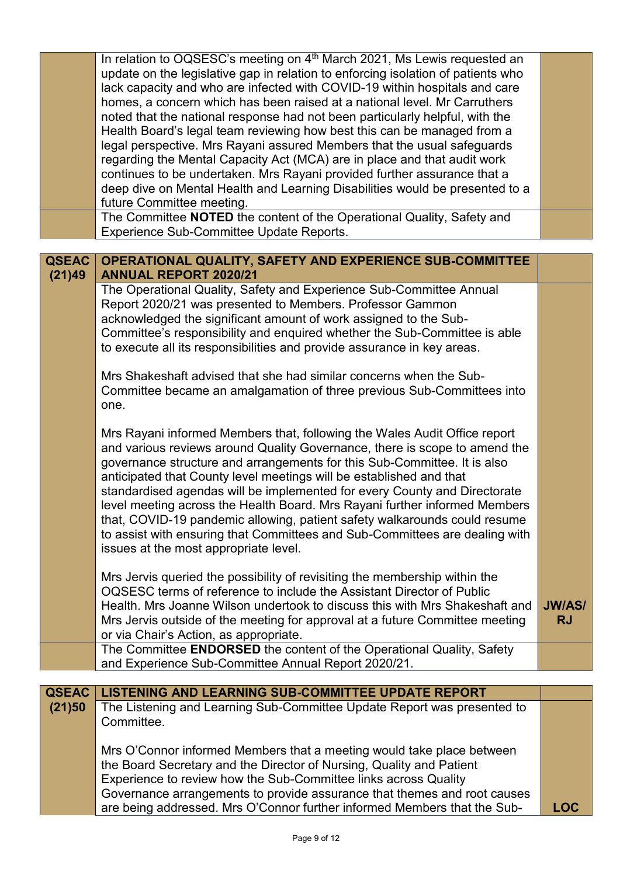|              | In relation to OQSESC's meeting on 4 <sup>th</sup> March 2021, Ms Lewis requested an |               |
|--------------|--------------------------------------------------------------------------------------|---------------|
|              | update on the legislative gap in relation to enforcing isolation of patients who     |               |
|              | lack capacity and who are infected with COVID-19 within hospitals and care           |               |
|              | homes, a concern which has been raised at a national level. Mr Carruthers            |               |
|              | noted that the national response had not been particularly helpful, with the         |               |
|              | Health Board's legal team reviewing how best this can be managed from a              |               |
|              | legal perspective. Mrs Rayani assured Members that the usual safeguards              |               |
|              |                                                                                      |               |
|              | regarding the Mental Capacity Act (MCA) are in place and that audit work             |               |
|              | continues to be undertaken. Mrs Rayani provided further assurance that a             |               |
|              | deep dive on Mental Health and Learning Disabilities would be presented to a         |               |
|              | future Committee meeting.                                                            |               |
|              | The Committee NOTED the content of the Operational Quality, Safety and               |               |
|              | <b>Experience Sub-Committee Update Reports.</b>                                      |               |
|              |                                                                                      |               |
| <b>QSEAC</b> | OPERATIONAL QUALITY, SAFETY AND EXPERIENCE SUB-COMMITTEE                             |               |
| (21)49       | <b>ANNUAL REPORT 2020/21</b>                                                         |               |
|              | The Operational Quality, Safety and Experience Sub-Committee Annual                  |               |
|              | Report 2020/21 was presented to Members. Professor Gammon                            |               |
|              | acknowledged the significant amount of work assigned to the Sub-                     |               |
|              | Committee's responsibility and enquired whether the Sub-Committee is able            |               |
|              |                                                                                      |               |
|              | to execute all its responsibilities and provide assurance in key areas.              |               |
|              |                                                                                      |               |
|              | Mrs Shakeshaft advised that she had similar concerns when the Sub-                   |               |
|              | Committee became an amalgamation of three previous Sub-Committees into               |               |
|              | one.                                                                                 |               |
|              |                                                                                      |               |
|              | Mrs Rayani informed Members that, following the Wales Audit Office report            |               |
|              | and various reviews around Quality Governance, there is scope to amend the           |               |
|              | governance structure and arrangements for this Sub-Committee. It is also             |               |
|              | anticipated that County level meetings will be established and that                  |               |
|              | standardised agendas will be implemented for every County and Directorate            |               |
|              |                                                                                      |               |
|              | level meeting across the Health Board. Mrs Rayani further informed Members           |               |
|              | that, COVID-19 pandemic allowing, patient safety walkarounds could resume            |               |
|              | to assist with ensuring that Committees and Sub-Committees are dealing with          |               |
|              | issues at the most appropriate level.                                                |               |
|              |                                                                                      |               |
|              | Mrs Jervis queried the possibility of revisiting the membership within the           |               |
|              | OQSESC terms of reference to include the Assistant Director of Public                |               |
|              | Health. Mrs Joanne Wilson undertook to discuss this with Mrs Shakeshaft and          | <b>JW/AS/</b> |
|              | Mrs Jervis outside of the meeting for approval at a future Committee meeting         | <b>RJ</b>     |
|              | or via Chair's Action, as appropriate.                                               |               |
|              | The Committee ENDORSED the content of the Operational Quality, Safety                |               |
|              | and Experience Sub-Committee Annual Report 2020/21.                                  |               |
|              |                                                                                      |               |
| <b>QSEAC</b> | <b>LISTENING AND LEARNING SUB-COMMITTEE UPDATE REPORT</b>                            |               |
| (21)50       | The Listening and Learning Sub-Committee Update Report was presented to              |               |
|              | Committee.                                                                           |               |
|              |                                                                                      |               |
|              |                                                                                      |               |
|              | Mrs O'Connor informed Members that a meeting would take place between                |               |
|              | the Board Secretary and the Director of Nursing, Quality and Patient                 |               |
|              | Experience to review how the Sub-Committee links across Quality                      |               |
|              | Governance arrangements to provide assurance that themes and root causes             |               |
|              | are being addressed. Mrs O'Connor further informed Members that the Sub-             | <b>LOC</b>    |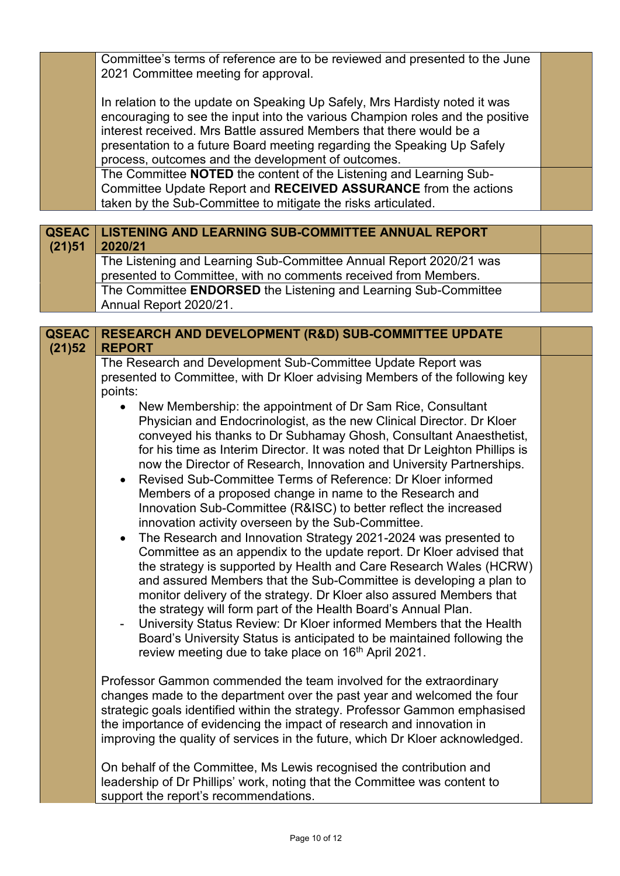Committee's terms of reference are to be reviewed and presented to the June 2021 Committee meeting for approval.

In relation to the update on Speaking Up Safely, Mrs Hardisty noted it was encouraging to see the input into the various Champion roles and the positive interest received. Mrs Battle assured Members that there would be a presentation to a future Board meeting regarding the Speaking Up Safely process, outcomes and the development of outcomes.

The Committee **NOTED** the content of the Listening and Learning Sub-Committee Update Report and **RECEIVED ASSURANCE** from the actions taken by the Sub-Committee to mitigate the risks articulated.

| (21)51 | <b>QSEAC   LISTENING AND LEARNING SUB-COMMITTEE ANNUAL REPORT</b><br>2020/21 |  |
|--------|------------------------------------------------------------------------------|--|
|        | The Listening and Learning Sub-Committee Annual Report 2020/21 was           |  |
|        | presented to Committee, with no comments received from Members.              |  |
|        | The Committee ENDORSED the Listening and Learning Sub-Committee              |  |
|        | Annual Report 2020/21.                                                       |  |

| <b>QSEAC</b><br>(21)52 | RESEARCH AND DEVELOPMENT (R&D) SUB-COMMITTEE UPDATE<br><b>REPORT</b>                                                                                                                                                                                                                                                                                                                                                                                                                                                                                                                                                                                                                                                                                                                                                                                                                                                                                                                                                                                                                                                                                                                                                                                                                                                                             |  |
|------------------------|--------------------------------------------------------------------------------------------------------------------------------------------------------------------------------------------------------------------------------------------------------------------------------------------------------------------------------------------------------------------------------------------------------------------------------------------------------------------------------------------------------------------------------------------------------------------------------------------------------------------------------------------------------------------------------------------------------------------------------------------------------------------------------------------------------------------------------------------------------------------------------------------------------------------------------------------------------------------------------------------------------------------------------------------------------------------------------------------------------------------------------------------------------------------------------------------------------------------------------------------------------------------------------------------------------------------------------------------------|--|
|                        | The Research and Development Sub-Committee Update Report was<br>presented to Committee, with Dr Kloer advising Members of the following key<br>points:                                                                                                                                                                                                                                                                                                                                                                                                                                                                                                                                                                                                                                                                                                                                                                                                                                                                                                                                                                                                                                                                                                                                                                                           |  |
|                        | New Membership: the appointment of Dr Sam Rice, Consultant<br>$\bullet$<br>Physician and Endocrinologist, as the new Clinical Director. Dr Kloer<br>conveyed his thanks to Dr Subhamay Ghosh, Consultant Anaesthetist,<br>for his time as Interim Director. It was noted that Dr Leighton Phillips is<br>now the Director of Research, Innovation and University Partnerships.<br>Revised Sub-Committee Terms of Reference: Dr Kloer informed<br>$\bullet$<br>Members of a proposed change in name to the Research and<br>Innovation Sub-Committee (R&ISC) to better reflect the increased<br>innovation activity overseen by the Sub-Committee.<br>The Research and Innovation Strategy 2021-2024 was presented to<br>$\bullet$<br>Committee as an appendix to the update report. Dr Kloer advised that<br>the strategy is supported by Health and Care Research Wales (HCRW)<br>and assured Members that the Sub-Committee is developing a plan to<br>monitor delivery of the strategy. Dr Kloer also assured Members that<br>the strategy will form part of the Health Board's Annual Plan.<br>University Status Review: Dr Kloer informed Members that the Health<br>$\overline{\phantom{0}}$<br>Board's University Status is anticipated to be maintained following the<br>review meeting due to take place on 16 <sup>th</sup> April 2021. |  |
|                        | Professor Gammon commended the team involved for the extraordinary<br>changes made to the department over the past year and welcomed the four<br>strategic goals identified within the strategy. Professor Gammon emphasised<br>the importance of evidencing the impact of research and innovation in<br>improving the quality of services in the future, which Dr Kloer acknowledged.                                                                                                                                                                                                                                                                                                                                                                                                                                                                                                                                                                                                                                                                                                                                                                                                                                                                                                                                                           |  |
|                        | On behalf of the Committee, Ms Lewis recognised the contribution and<br>leadership of Dr Phillips' work, noting that the Committee was content to<br>support the report's recommendations.                                                                                                                                                                                                                                                                                                                                                                                                                                                                                                                                                                                                                                                                                                                                                                                                                                                                                                                                                                                                                                                                                                                                                       |  |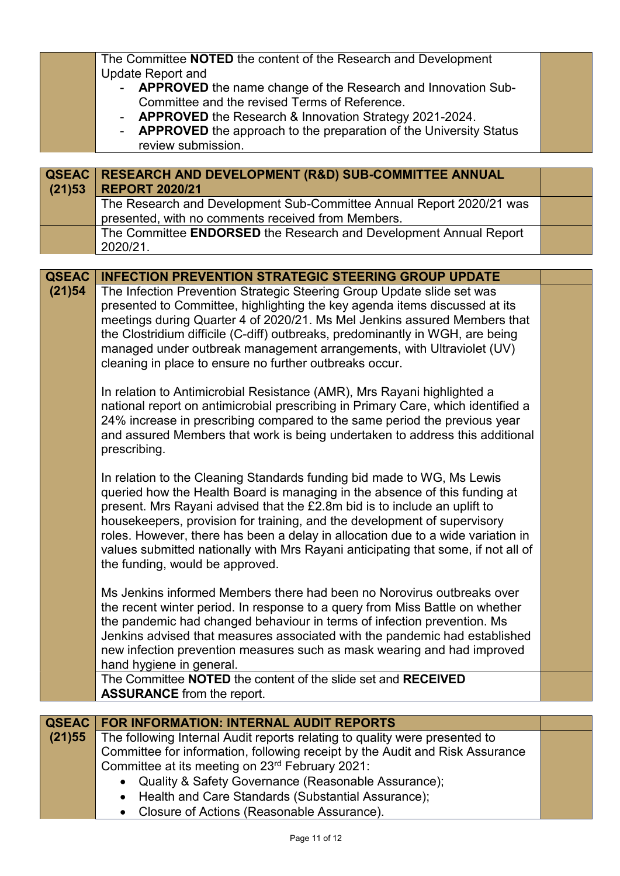|              | The Committee NOTED the content of the Research and Development                                      |  |
|--------------|------------------------------------------------------------------------------------------------------|--|
|              | <b>Update Report and</b>                                                                             |  |
|              | APPROVED the name change of the Research and Innovation Sub-                                         |  |
|              | Committee and the revised Terms of Reference.                                                        |  |
|              | APPROVED the Research & Innovation Strategy 2021-2024.                                               |  |
|              | <b>APPROVED</b> the approach to the preparation of the University Status<br>$\overline{\phantom{a}}$ |  |
|              | review submission.                                                                                   |  |
|              |                                                                                                      |  |
|              |                                                                                                      |  |
| <b>QSEAC</b> | <b>RESEARCH AND DEVELOPMENT (R&amp;D) SUB-COMMITTEE ANNUAL</b>                                       |  |
| (21)53       | <b>REPORT 2020/21</b>                                                                                |  |
|              | The Research and Development Sub-Committee Annual Report 2020/21 was                                 |  |
|              | presented, with no comments received from Members.                                                   |  |
|              | The Committee ENDORSED the Research and Development Annual Report                                    |  |
|              | 2020/21.                                                                                             |  |
|              |                                                                                                      |  |
| <b>QSEAC</b> | <b>INFECTION PREVENTION STRATEGIC STEERING GROUP UPDATE</b>                                          |  |
| (21)54       | The Infection Prevention Strategic Steering Group Update slide set was                               |  |
|              | presented to Committee, highlighting the key agenda items discussed at its                           |  |
|              | meetings during Quarter 4 of 2020/21. Ms Mel Jenkins assured Members that                            |  |
|              | the Clostridium difficile (C-diff) outbreaks, predominantly in WGH, are being                        |  |
|              | managed under outbreak management arrangements, with Ultraviolet (UV)                                |  |
|              | cleaning in place to ensure no further outbreaks occur.                                              |  |
|              |                                                                                                      |  |
|              | In relation to Antimicrobial Resistance (AMR), Mrs Rayani highlighted a                              |  |
|              | national report on antimicrobial prescribing in Primary Care, which identified a                     |  |
|              |                                                                                                      |  |
|              | 24% increase in prescribing compared to the same period the previous year                            |  |
|              | and assured Members that work is being undertaken to address this additional                         |  |
|              | prescribing.                                                                                         |  |
|              |                                                                                                      |  |
|              | In relation to the Cleaning Standards funding bid made to WG, Ms Lewis                               |  |
|              | queried how the Health Board is managing in the absence of this funding at                           |  |
|              | present. Mrs Rayani advised that the £2.8m bid is to include an uplift to                            |  |
|              | housekeepers, provision for training, and the development of supervisory                             |  |
|              | roles. However, there has been a delay in allocation due to a wide variation in                      |  |
|              | values submitted nationally with Mrs Rayani anticipating that some, if not all of                    |  |
|              | the funding, would be approved.                                                                      |  |
|              |                                                                                                      |  |
|              | Ms Jenkins informed Members there had been no Norovirus outbreaks over                               |  |
|              | the recent winter period. In response to a query from Miss Battle on whether                         |  |
|              | the pandemic had changed behaviour in terms of infection prevention. Ms                              |  |
|              | Jenkins advised that measures associated with the pandemic had established                           |  |
|              |                                                                                                      |  |
|              | new infection prevention measures such as mask wearing and had improved                              |  |
|              | hand hygiene in general.                                                                             |  |
|              | The Committee NOTED the content of the slide set and RECEIVED                                        |  |
|              | <b>ASSURANCE</b> from the report.                                                                    |  |
|              |                                                                                                      |  |
| <b>QSEAC</b> | <b>FOR INFORMATION: INTERNAL AUDIT REPORTS</b>                                                       |  |
| (21)55       | The following Internal Audit reports relating to quality were presented to                           |  |
|              | Committee for information, following receipt by the Audit and Risk Assurance                         |  |
|              | Committee at its meeting on 23rd February 2021:                                                      |  |
|              | Quality & Safety Governance (Reasonable Assurance);                                                  |  |
|              | Health and Care Standards (Substantial Assurance);                                                   |  |

Closure of Actions (Reasonable Assurance).